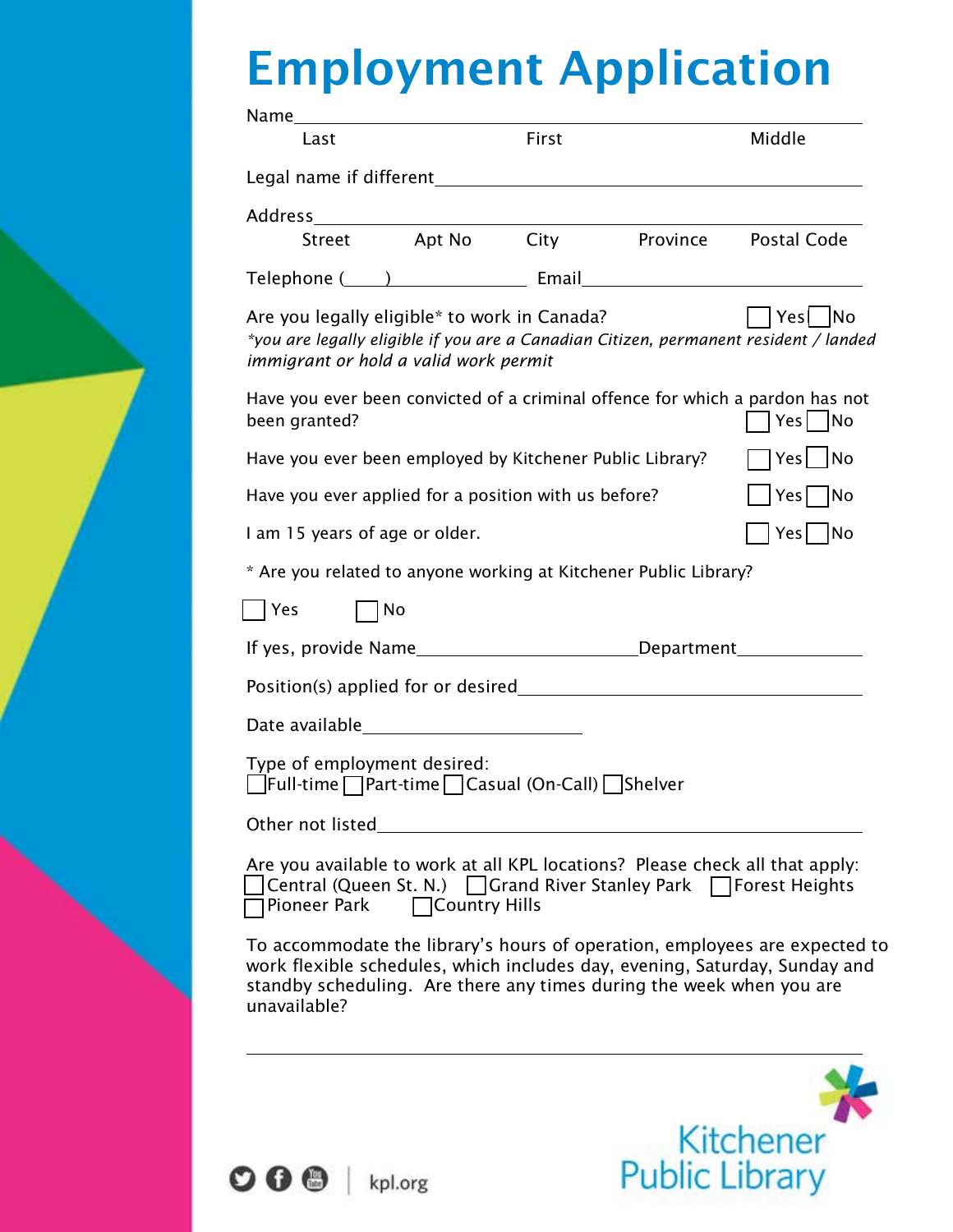## Employment Application

| Last                                                                                                                                                                                                                           |                         | First |                                         | Middle                                                                                                                                                   |
|--------------------------------------------------------------------------------------------------------------------------------------------------------------------------------------------------------------------------------|-------------------------|-------|-----------------------------------------|----------------------------------------------------------------------------------------------------------------------------------------------------------|
| Legal name if different entitled and the state of the state of the state of the state of the state of the state of the state of the state of the state of the state of the state of the state of the state of the state of the |                         |       |                                         |                                                                                                                                                          |
|                                                                                                                                                                                                                                |                         |       |                                         |                                                                                                                                                          |
|                                                                                                                                                                                                                                |                         |       | Street Apt No City Province Postal Code |                                                                                                                                                          |
|                                                                                                                                                                                                                                |                         |       |                                         |                                                                                                                                                          |
| Are you legally eligible* to work in Canada?<br>immigrant or hold a valid work permit                                                                                                                                          |                         |       |                                         | Yes   No<br>*you are legally eligible if you are a Canadian Citizen, permanent resident / landed                                                         |
| been granted?                                                                                                                                                                                                                  |                         |       |                                         | Have you ever been convicted of a criminal offence for which a pardon has not                                                                            |
| Have you ever been employed by Kitchener Public Library?                                                                                                                                                                       |                         |       |                                         | Yes No                                                                                                                                                   |
| Have you ever applied for a position with us before?                                                                                                                                                                           |                         |       |                                         | $Yes$ No                                                                                                                                                 |
| I am 15 years of age or older.                                                                                                                                                                                                 |                         |       |                                         | 1No<br>Yes                                                                                                                                               |
| * Are you related to anyone working at Kitchener Public Library?                                                                                                                                                               |                         |       |                                         |                                                                                                                                                          |
| Yes                                                                                                                                                                                                                            | No                      |       |                                         |                                                                                                                                                          |
|                                                                                                                                                                                                                                |                         |       |                                         |                                                                                                                                                          |
|                                                                                                                                                                                                                                |                         |       |                                         |                                                                                                                                                          |
|                                                                                                                                                                                                                                |                         |       |                                         |                                                                                                                                                          |
| Type of employment desired:<br>]Full-time □Part-time □Casual (On-Call) □Shelver                                                                                                                                                |                         |       |                                         |                                                                                                                                                          |
|                                                                                                                                                                                                                                |                         |       |                                         |                                                                                                                                                          |
| Pioneer Park                                                                                                                                                                                                                   | $\bigcap$ Country Hills |       |                                         | Are you available to work at all KPL locations? Please check all that apply:<br>Central (Queen St. N.) Grand River Stanley Park   Forest Heights         |
| standby scheduling. Are there any times during the week when you are<br>unavailable?                                                                                                                                           |                         |       |                                         | To accommodate the library's hours of operation, employees are expected to<br>work flexible schedules, which includes day, evening, Saturday, Sunday and |





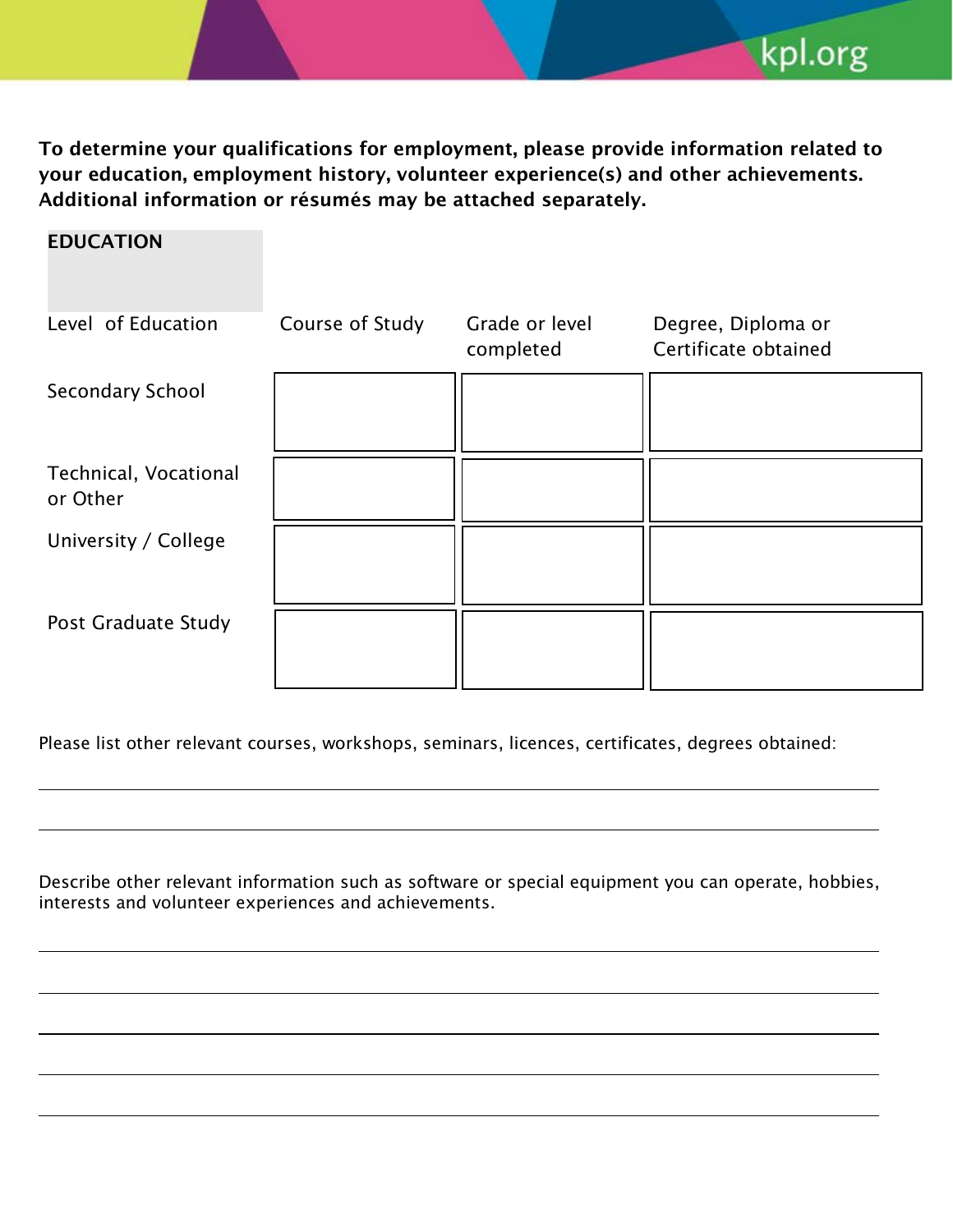To determine your qualifications for employment, please provide information related to your education, employment history, volunteer experience(s) and other achievements. Additional information or résumés may be attached separately.

| <b>EDUCATION</b>                  |                 |                             |                                            |
|-----------------------------------|-----------------|-----------------------------|--------------------------------------------|
| Level of Education                | Course of Study | Grade or level<br>completed | Degree, Diploma or<br>Certificate obtained |
| <b>Secondary School</b>           |                 |                             |                                            |
| Technical, Vocational<br>or Other |                 |                             |                                            |
| University / College              |                 |                             |                                            |
| <b>Post Graduate Study</b>        |                 |                             |                                            |

Please list other relevant courses, workshops, seminars, licences, certificates, degrees obtained:

Describe other relevant information such as software or special equipment you can operate, hobbies, interests and volunteer experiences and achievements.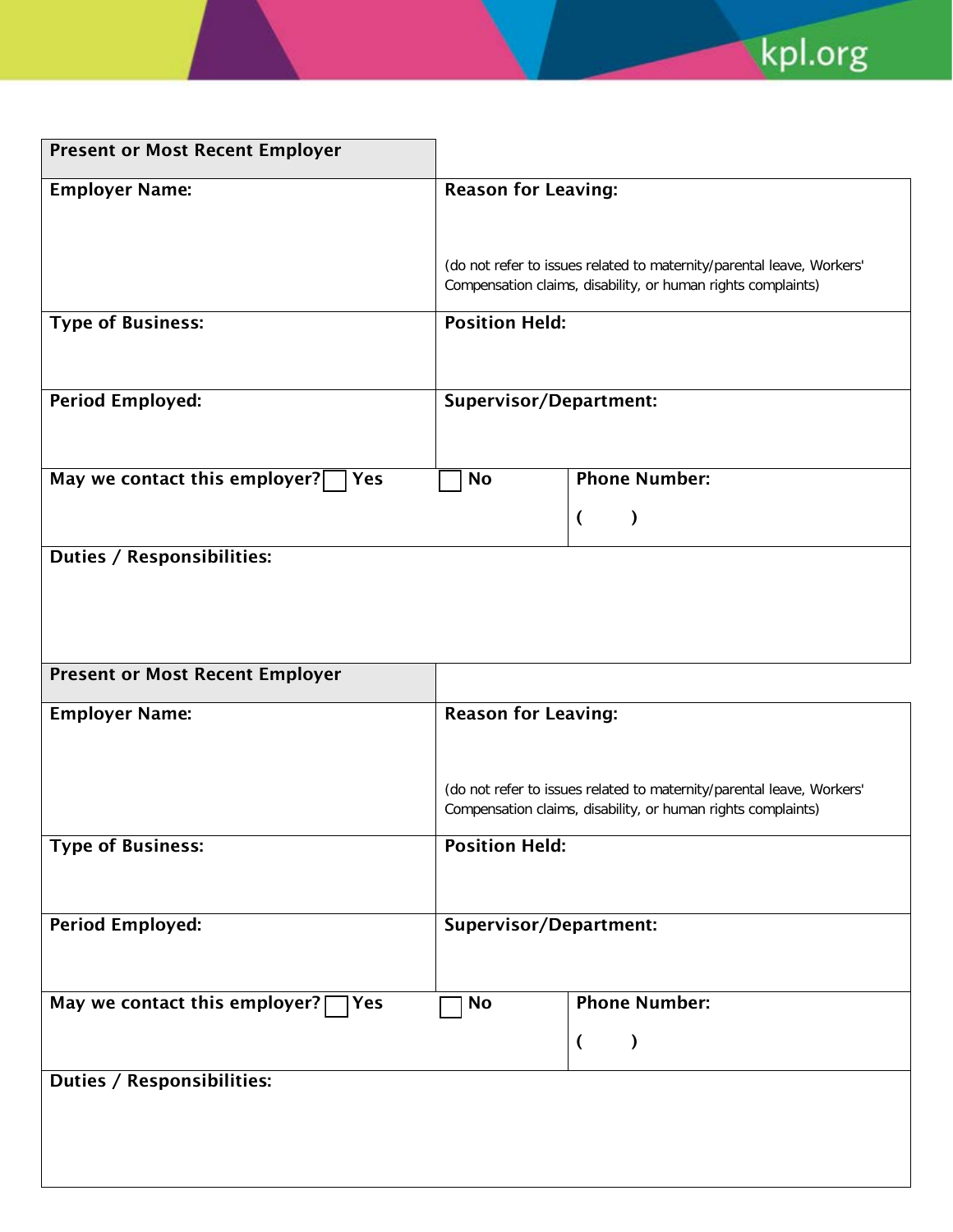| <b>Present or Most Recent Employer</b>      |                                                                                                                                                                     |                                       |  |
|---------------------------------------------|---------------------------------------------------------------------------------------------------------------------------------------------------------------------|---------------------------------------|--|
| <b>Employer Name:</b>                       | <b>Reason for Leaving:</b>                                                                                                                                          |                                       |  |
|                                             | (do not refer to issues related to maternity/parental leave, Workers'<br>Compensation claims, disability, or human rights complaints)                               |                                       |  |
| <b>Type of Business:</b>                    | <b>Position Held:</b>                                                                                                                                               |                                       |  |
| <b>Period Employed:</b>                     | <b>Supervisor/Department:</b>                                                                                                                                       |                                       |  |
| May we contact this employer?<br><b>Yes</b> | <b>No</b>                                                                                                                                                           | <b>Phone Number:</b>                  |  |
|                                             |                                                                                                                                                                     | (<br>$\lambda$                        |  |
| <b>Duties / Responsibilities:</b>           |                                                                                                                                                                     |                                       |  |
| <b>Present or Most Recent Employer</b>      |                                                                                                                                                                     |                                       |  |
| <b>Employer Name:</b>                       | <b>Reason for Leaving:</b><br>(do not refer to issues related to maternity/parental leave, Workers'<br>Compensation claims, disability, or human rights complaints) |                                       |  |
| <b>Type of Business:</b>                    | <b>Position Held:</b>                                                                                                                                               |                                       |  |
|                                             |                                                                                                                                                                     |                                       |  |
| <b>Period Employed:</b>                     | <b>Supervisor/Department:</b>                                                                                                                                       |                                       |  |
| May we contact this employer? $\Box$ Yes    | <b>No</b>                                                                                                                                                           | <b>Phone Number:</b>                  |  |
|                                             |                                                                                                                                                                     | $\overline{\mathcal{L}}$<br>$\lambda$ |  |
| <b>Duties / Responsibilities:</b>           |                                                                                                                                                                     |                                       |  |
|                                             |                                                                                                                                                                     |                                       |  |